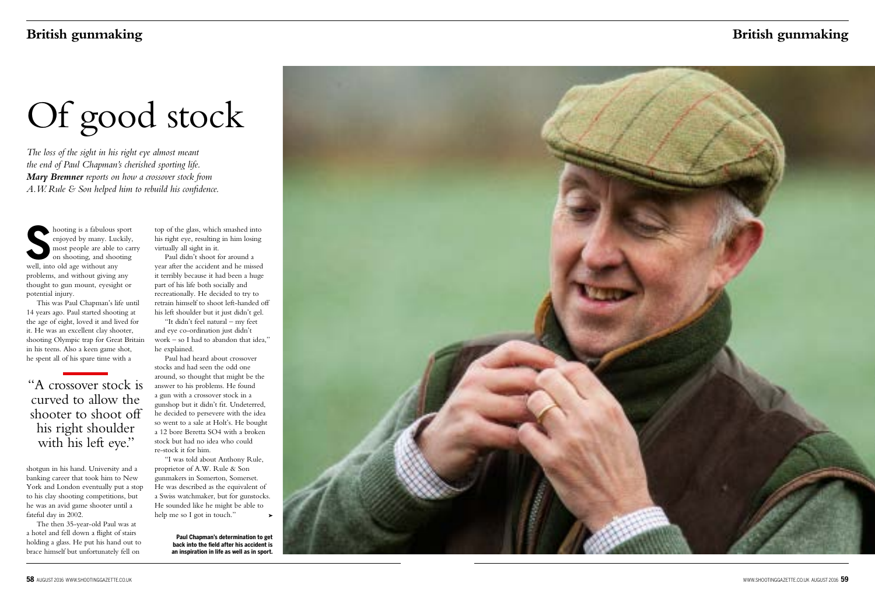top of the glass, which smashed into his right eye, resulting in him losing virtually all sight in it.

Paul didn't shoot for around a year after the accident and he missed it terribly because it had been a huge part of his life both socially and recreationally. He decided to try to retrain himself to shoot left-handed off his left shoulder but it just didn't gel.

"It didn't feel natural – my feet and eye co-ordination just didn't work – so I had to abandon that idea," he explained.

Paul had heard about crossover stocks and had seen the odd one around, so thought that might be the answer to his problems. He found a gun with a crossover stock in a gunshop but it didn't fit. Undeterred, he decided to persevere with the idea so went to a sale at Holt's. He bought a 12 bore Beretta SO4 with a broken stock but had no idea who could re-stock it for him.

**S**senjoyed by many. Luce<br>
most people are able to<br>
on shooting, and shooting<br>
well, into old age without any hooting is a fabulous sport enjoyed by many. Luckily, most people are able to carry on shooting, and shooting problems, and without giving any thought to gun mount, eyesight or potential injury.

> "I was told about Anthony Rule, proprietor of A.W. Rule & Son gunmakers in Somerton, Somerset. He was described as the equivalent of a Swiss watchmaker, but for gunstocks. He sounded like he might be able to help me so I got in touch."

"A crossover stock is curved to allow the shooter to shoot off his right shoulder with his left eye."

# **British gunmaking British gunmaking**

# Of good stock

*The loss of the sight in his right eye almost meant the end of Paul Chapman's cherished sporting life. Mary Bremner reports on how a crossover stock from A.W. Rule & Son helped him to rebuild his confidence.* 

This was Paul Chapman's life until 14 years ago. Paul started shooting at the age of eight, loved it and lived for it. He was an excellent clay shooter, shooting Olympic trap for Great Britain in his teens. Also a keen game shot, he spent all of his spare time with a

shotgun in his hand. University and a banking career that took him to New York and London eventually put a stop to his clay shooting competitions, but he was an avid game shooter until a fateful day in 2002.

The then 35-year-old Paul was at a hotel and fell down a flight of stairs holding a glass. He put his hand out to brace himself but unfortunately fell on

**Paul Chapman's determination to get back into the field after his accident is an inspiration in life as well as in sport.**